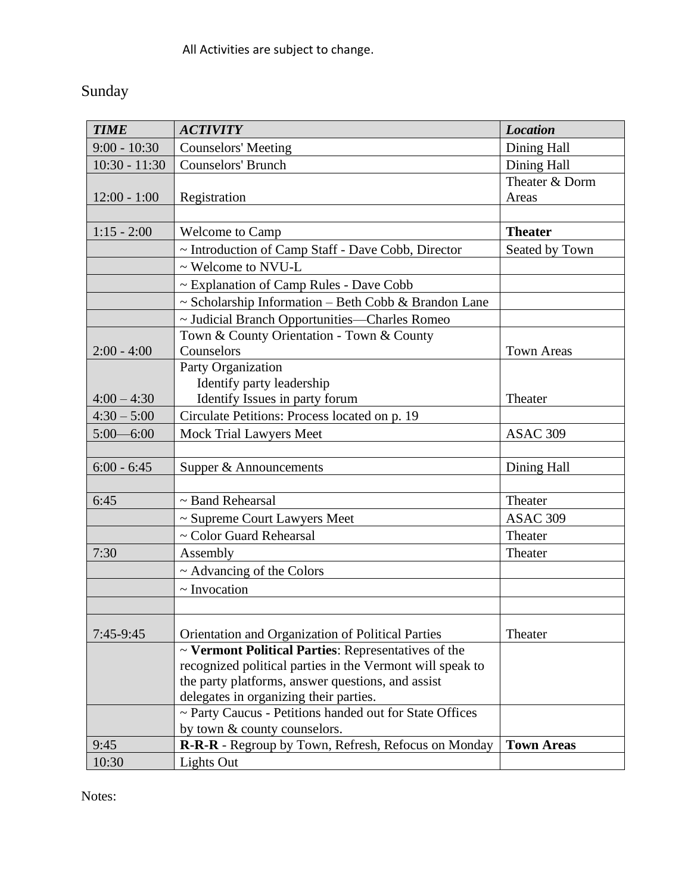## Sunday

| <b>TIME</b>     | <b>ACTIVITY</b>                                           | <b>Location</b>   |
|-----------------|-----------------------------------------------------------|-------------------|
| $9:00 - 10:30$  | <b>Counselors' Meeting</b>                                | Dining Hall       |
| $10:30 - 11:30$ | Counselors' Brunch                                        | Dining Hall       |
|                 |                                                           | Theater & Dorm    |
| $12:00 - 1:00$  | Registration                                              | Areas             |
|                 |                                                           |                   |
| $1:15 - 2:00$   | <b>Welcome to Camp</b>                                    | <b>Theater</b>    |
|                 | ~ Introduction of Camp Staff - Dave Cobb, Director        | Seated by Town    |
|                 | $\sim$ Welcome to NVU-L                                   |                   |
|                 | ~ Explanation of Camp Rules - Dave Cobb                   |                   |
|                 | $\sim$ Scholarship Information – Beth Cobb & Brandon Lane |                   |
|                 | ~ Judicial Branch Opportunities—Charles Romeo             |                   |
|                 | Town & County Orientation - Town & County                 |                   |
| $2:00 - 4:00$   | Counselors                                                | <b>Town Areas</b> |
|                 | Party Organization                                        |                   |
|                 | Identify party leadership                                 |                   |
| $4:00 - 4:30$   | Identify Issues in party forum                            | Theater           |
| $4:30 - 5:00$   | Circulate Petitions: Process located on p. 19             |                   |
| $5:00 - 6:00$   | <b>Mock Trial Lawyers Meet</b>                            | ASAC 309          |
|                 |                                                           |                   |
| $6:00 - 6:45$   | Supper & Announcements                                    | Dining Hall       |
|                 |                                                           |                   |
| 6:45            | ~ Band Rehearsal                                          | Theater           |
|                 | ~ Supreme Court Lawyers Meet                              | <b>ASAC 309</b>   |
|                 | ~ Color Guard Rehearsal                                   | Theater           |
| 7:30            | Assembly                                                  | Theater           |
|                 | ~ Advancing of the Colors                                 |                   |
|                 | $\sim$ Invocation                                         |                   |
|                 |                                                           |                   |
| 7:45-9:45       | Orientation and Organization of Political Parties         | Theater           |
|                 | ~ Vermont Political Parties: Representatives of the       |                   |
|                 | recognized political parties in the Vermont will speak to |                   |
|                 | the party platforms, answer questions, and assist         |                   |
|                 | delegates in organizing their parties.                    |                   |
|                 | ~ Party Caucus - Petitions handed out for State Offices   |                   |
|                 | by town & county counselors.                              |                   |
| 9:45            | R-R-R - Regroup by Town, Refresh, Refocus on Monday       | <b>Town Areas</b> |
| 10:30           | Lights Out                                                |                   |

Notes: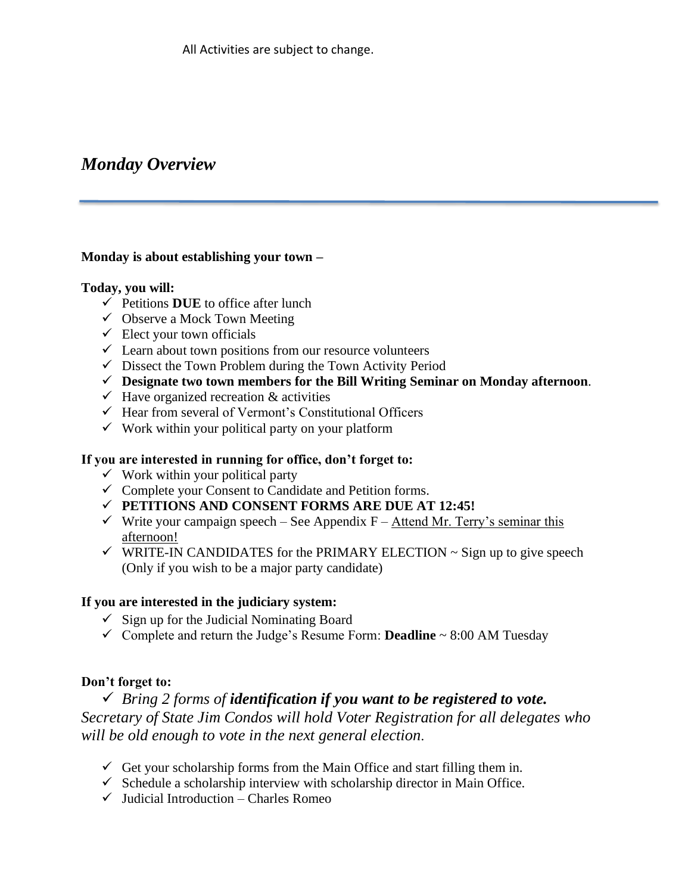### *Monday Overview*

#### **Monday is about establishing your town –**

#### **Today, you will:**

- ✓ Petitions **DUE** to office after lunch
- $\checkmark$  Observe a Mock Town Meeting
- $\checkmark$  Elect your town officials
- $\checkmark$  Learn about town positions from our resource volunteers
- $\checkmark$  Dissect the Town Problem during the Town Activity Period
- ✓ **Designate two town members for the Bill Writing Seminar on Monday afternoon**.
- $\checkmark$  Have organized recreation & activities
- ✓ Hear from several of Vermont's Constitutional Officers
- $\checkmark$  Work within your political party on your platform

#### **If you are interested in running for office, don't forget to:**

- $\checkmark$  Work within your political party
- $\checkmark$  Complete your Consent to Candidate and Petition forms.
- ✓ **PETITIONS AND CONSENT FORMS ARE DUE AT 12:45!**
- $\checkmark$  Write your campaign speech See Appendix F Attend Mr. Terry's seminar this afternoon!
- $\checkmark$  WRITE-IN CANDIDATES for the PRIMARY ELECTION  $\sim$  Sign up to give speech (Only if you wish to be a major party candidate)

#### **If you are interested in the judiciary system:**

- $\checkmark$  Sign up for the Judicial Nominating Board
- ✓ Complete and return the Judge's Resume Form: **Deadline** ~ 8:00 AM Tuesday

#### **Don't forget to:**

✓ *Bring 2 forms of identification if you want to be registered to vote. Secretary of State Jim Condos will hold Voter Registration for all delegates who will be old enough to vote in the next general election*.

- $\checkmark$  Get your scholarship forms from the Main Office and start filling them in.
- $\checkmark$  Schedule a scholarship interview with scholarship director in Main Office.
- $\checkmark$  Judicial Introduction Charles Romeo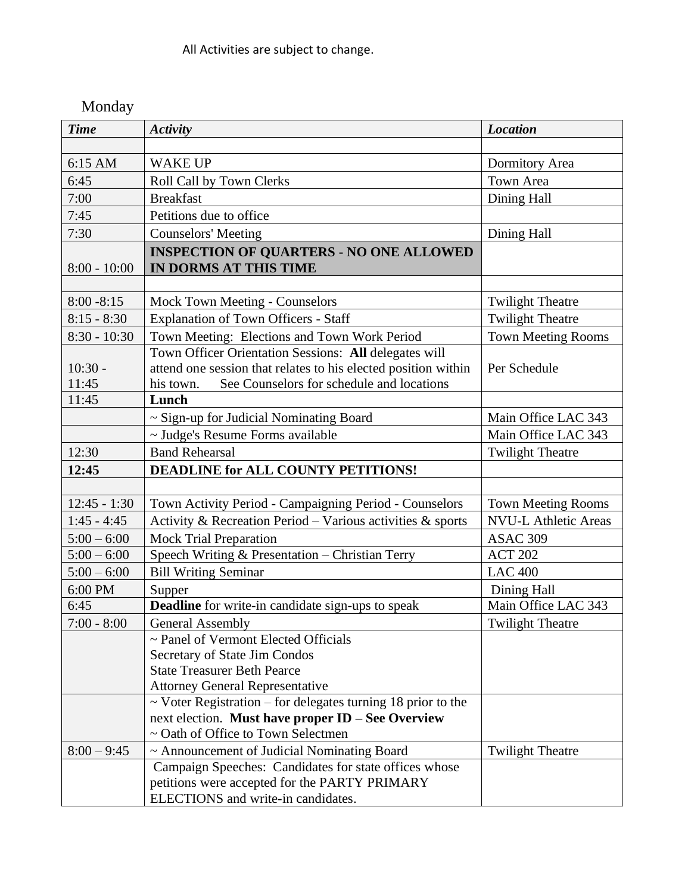All Activities are subject to change.

Monday

| <b>Time</b>    | <b>Activity</b>                                                              | <b>Location</b>             |  |
|----------------|------------------------------------------------------------------------------|-----------------------------|--|
|                |                                                                              |                             |  |
| 6:15 AM        | <b>WAKE UP</b>                                                               | <b>Dormitory Area</b>       |  |
| 6:45           | Roll Call by Town Clerks                                                     | Town Area                   |  |
| 7:00           | <b>Breakfast</b>                                                             | Dining Hall                 |  |
| 7:45           | Petitions due to office                                                      |                             |  |
| 7:30           | <b>Counselors' Meeting</b>                                                   | Dining Hall                 |  |
|                | <b>INSPECTION OF QUARTERS - NO ONE ALLOWED</b>                               |                             |  |
| $8:00 - 10:00$ | IN DORMS AT THIS TIME                                                        |                             |  |
|                |                                                                              |                             |  |
| $8:00 - 8:15$  | Mock Town Meeting - Counselors                                               | <b>Twilight Theatre</b>     |  |
| $8:15 - 8:30$  | <b>Explanation of Town Officers - Staff</b>                                  | <b>Twilight Theatre</b>     |  |
| $8:30 - 10:30$ | Town Meeting: Elections and Town Work Period                                 | <b>Town Meeting Rooms</b>   |  |
|                | Town Officer Orientation Sessions: All delegates will                        |                             |  |
| $10:30 -$      | attend one session that relates to his elected position within               | Per Schedule                |  |
| 11:45          | See Counselors for schedule and locations<br>his town.                       |                             |  |
| 11:45          | Lunch                                                                        |                             |  |
|                | ~ Sign-up for Judicial Nominating Board                                      | Main Office LAC 343         |  |
|                | ~ Judge's Resume Forms available                                             | Main Office LAC 343         |  |
| 12:30          | <b>Band Rehearsal</b>                                                        | <b>Twilight Theatre</b>     |  |
| 12:45          | <b>DEADLINE for ALL COUNTY PETITIONS!</b>                                    |                             |  |
|                |                                                                              |                             |  |
| $12:45 - 1:30$ | Town Activity Period - Campaigning Period - Counselors                       | <b>Town Meeting Rooms</b>   |  |
| $1:45 - 4:45$  | Activity & Recreation Period - Various activities & sports                   | <b>NVU-L Athletic Areas</b> |  |
| $5:00 - 6:00$  | <b>Mock Trial Preparation</b>                                                | ASAC 309                    |  |
| $5:00 - 6:00$  | Speech Writing & Presentation - Christian Terry                              | <b>ACT 202</b>              |  |
| $5:00 - 6:00$  | <b>Bill Writing Seminar</b>                                                  | <b>LAC 400</b>              |  |
| 6:00 PM        | Supper                                                                       | Dining Hall                 |  |
| 6:45           | <b>Deadline</b> for write-in candidate sign-ups to speak                     | Main Office LAC 343         |  |
| $7:00 - 8:00$  | General Assembly                                                             | <b>Twilight Theatre</b>     |  |
|                | $\sim$ Panel of Vermont Elected Officials                                    |                             |  |
|                | Secretary of State Jim Condos                                                |                             |  |
|                | <b>State Treasurer Beth Pearce</b><br><b>Attorney General Representative</b> |                             |  |
|                | $\sim$ Voter Registration – for delegates turning 18 prior to the            |                             |  |
|                | next election. Must have proper ID - See Overview                            |                             |  |
|                | ~ Oath of Office to Town Selectmen                                           |                             |  |
| $8:00 - 9:45$  | ~ Announcement of Judicial Nominating Board                                  | <b>Twilight Theatre</b>     |  |
|                | Campaign Speeches: Candidates for state offices whose                        |                             |  |
|                | petitions were accepted for the PARTY PRIMARY                                |                             |  |
|                | ELECTIONS and write-in candidates.                                           |                             |  |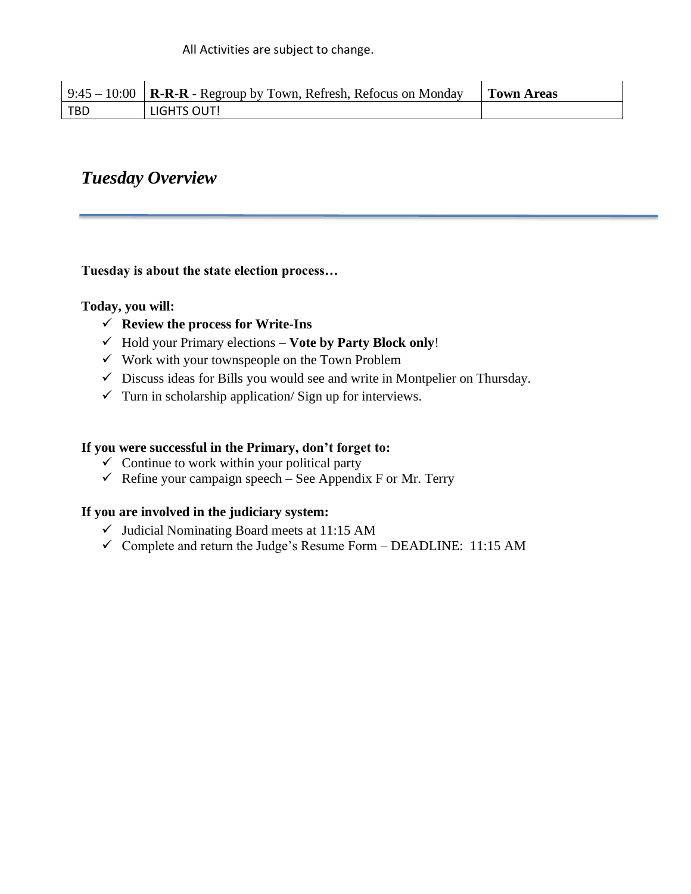|     | $9:45-10:00$   <b>R-R-R</b> - Regroup by Town, Refresh, Refocus on Monday | Town Areas |
|-----|---------------------------------------------------------------------------|------------|
| TBD | LIGHTS OUT!                                                               |            |

### *Tuesday Overview*

#### **Tuesday is about the state election process…**

#### **Today, you will:**

- ✓ **Review the process for Write-Ins**
- ✓ Hold your Primary elections **Vote by Party Block only**!
- $\checkmark$  Work with your townspeople on the Town Problem
- $\checkmark$  Discuss ideas for Bills you would see and write in Montpelier on Thursday.
- $\checkmark$  Turn in scholarship application/ Sign up for interviews.

#### **If you were successful in the Primary, don't forget to:**

- $\checkmark$  Continue to work within your political party
- $\checkmark$  Refine your campaign speech See Appendix F or Mr. Terry

#### **If you are involved in the judiciary system:**

- $\checkmark$  Judicial Nominating Board meets at 11:15 AM
- $\checkmark$  Complete and return the Judge's Resume Form DEADLINE: 11:15 AM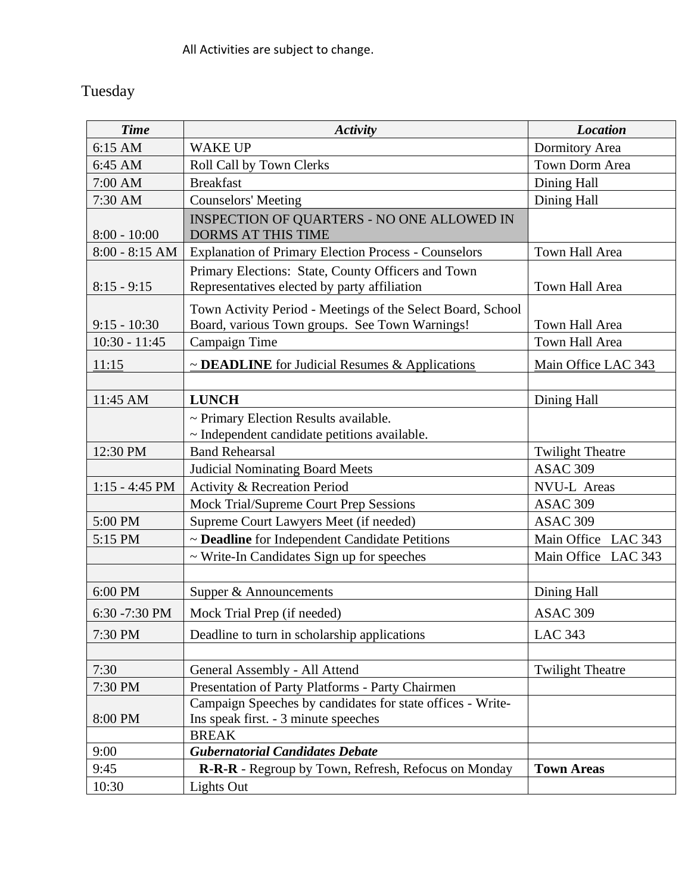# Tuesday

| <b>Time</b>      | <b>Activity</b>                                                                                               | <b>Location</b>         |
|------------------|---------------------------------------------------------------------------------------------------------------|-------------------------|
| 6:15 AM          | <b>WAKE UP</b>                                                                                                | Dormitory Area          |
| 6:45 AM          | Roll Call by Town Clerks                                                                                      | Town Dorm Area          |
| 7:00 AM          | <b>Breakfast</b>                                                                                              | Dining Hall             |
| 7:30 AM          | <b>Counselors' Meeting</b>                                                                                    | Dining Hall             |
| $8:00 - 10:00$   | <b>INSPECTION OF QUARTERS - NO ONE ALLOWED IN</b><br><b>DORMS AT THIS TIME</b>                                |                         |
| $8:00 - 8:15 AM$ | <b>Explanation of Primary Election Process - Counselors</b>                                                   | Town Hall Area          |
| $8:15 - 9:15$    | Primary Elections: State, County Officers and Town<br>Representatives elected by party affiliation            | Town Hall Area          |
| $9:15 - 10:30$   | Town Activity Period - Meetings of the Select Board, School<br>Board, various Town groups. See Town Warnings! | Town Hall Area          |
| $10:30 - 11:45$  | Campaign Time                                                                                                 | Town Hall Area          |
| 11:15            | $\sim$ <b>DEADLINE</b> for Judicial Resumes & Applications                                                    | Main Office LAC 343     |
|                  |                                                                                                               |                         |
| 11:45 AM         | <b>LUNCH</b>                                                                                                  | Dining Hall             |
|                  | ~ Primary Election Results available.<br>~ Independent candidate petitions available.                         |                         |
| 12:30 PM         | <b>Band Rehearsal</b>                                                                                         | <b>Twilight Theatre</b> |
|                  | <b>Judicial Nominating Board Meets</b>                                                                        | ASAC 309                |
| $1:15 - 4:45$ PM | Activity & Recreation Period                                                                                  | NVU-L Areas             |
|                  | Mock Trial/Supreme Court Prep Sessions                                                                        | ASAC 309                |
| 5:00 PM          | Supreme Court Lawyers Meet (if needed)                                                                        | ASAC 309                |
| 5:15 PM          | ~ Deadline for Independent Candidate Petitions                                                                | Main Office LAC 343     |
|                  | $\sim$ Write-In Candidates Sign up for speeches                                                               | Main Office LAC 343     |
|                  |                                                                                                               |                         |
| 6:00 PM          | Supper & Announcements                                                                                        | Dining Hall             |
| 6:30 -7:30 PM    | Mock Trial Prep (if needed)                                                                                   | ASAC 309                |
| 7:30 PM          | Deadline to turn in scholarship applications                                                                  | <b>LAC 343</b>          |
|                  |                                                                                                               |                         |
| 7:30             | General Assembly - All Attend                                                                                 | <b>Twilight Theatre</b> |
| 7:30 PM          | Presentation of Party Platforms - Party Chairmen                                                              |                         |
|                  | Campaign Speeches by candidates for state offices - Write-                                                    |                         |
| 8:00 PM          | Ins speak first. - 3 minute speeches                                                                          |                         |
|                  | <b>BREAK</b>                                                                                                  |                         |
| 9:00             | <b>Gubernatorial Candidates Debate</b>                                                                        |                         |
| 9:45             | R-R-R - Regroup by Town, Refresh, Refocus on Monday                                                           | <b>Town Areas</b>       |
| 10:30            | Lights Out                                                                                                    |                         |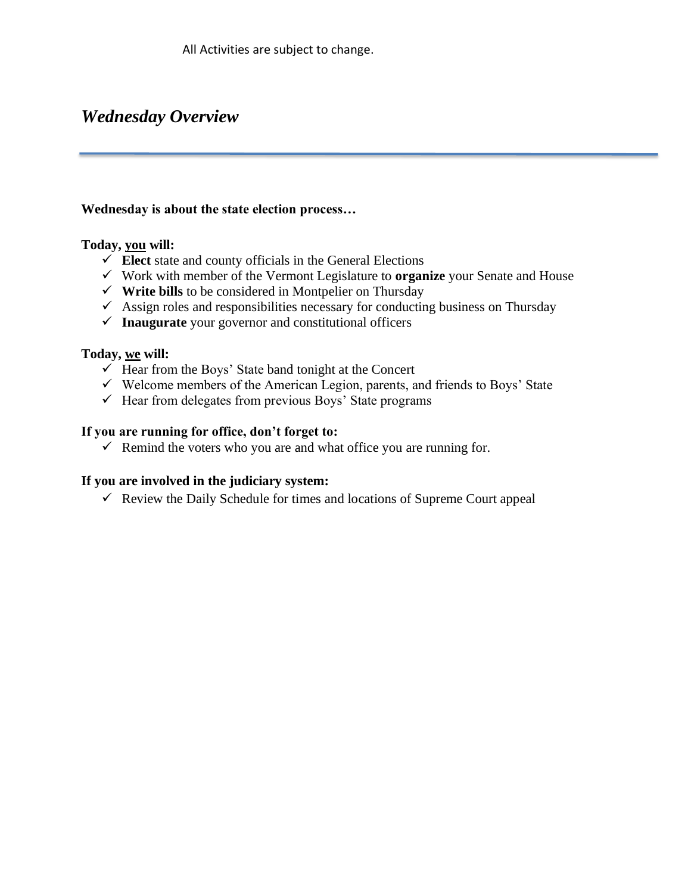### *Wednesday Overview*

#### **Wednesday is about the state election process…**

#### **Today, you will:**

- $\checkmark$  **Elect** state and county officials in the General Elections
- ✓ Work with member of the Vermont Legislature to **organize** your Senate and House
- ✓ **Write bills** to be considered in Montpelier on Thursday
- $\checkmark$  Assign roles and responsibilities necessary for conducting business on Thursday
- ✓ **Inaugurate** your governor and constitutional officers

#### **Today, we will:**

- $\overline{\smash{\checkmark}}$  Hear from the Boys' State band tonight at the Concert
- $\checkmark$  Welcome members of the American Legion, parents, and friends to Boys' State
- $\checkmark$  Hear from delegates from previous Boys' State programs

#### **If you are running for office, don't forget to:**

 $\checkmark$  Remind the voters who you are and what office you are running for.

#### **If you are involved in the judiciary system:**

 $\checkmark$  Review the Daily Schedule for times and locations of Supreme Court appeal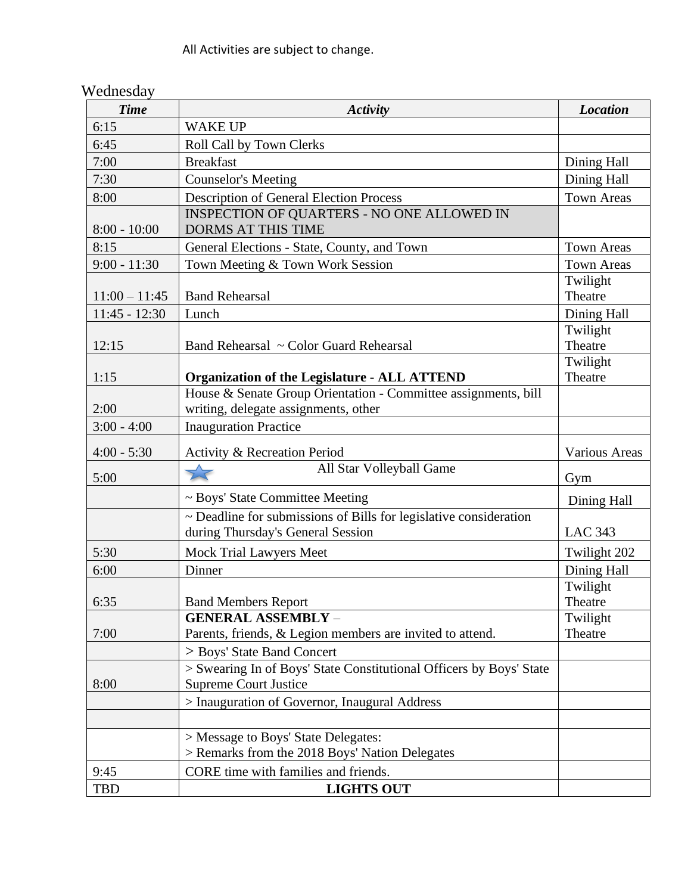### All Activities are subject to change.

| <b>Time</b>     | <b>Activity</b>                                                                                        | <b>Location</b>     |
|-----------------|--------------------------------------------------------------------------------------------------------|---------------------|
| 6:15            | <b>WAKE UP</b>                                                                                         |                     |
| 6:45            | Roll Call by Town Clerks                                                                               |                     |
| 7:00            | <b>Breakfast</b>                                                                                       | Dining Hall         |
| 7:30            | <b>Counselor's Meeting</b>                                                                             | Dining Hall         |
| 8:00            | <b>Description of General Election Process</b>                                                         | <b>Town Areas</b>   |
| $8:00 - 10:00$  | <b>INSPECTION OF QUARTERS - NO ONE ALLOWED IN</b><br><b>DORMS AT THIS TIME</b>                         |                     |
| 8:15            | General Elections - State, County, and Town                                                            | <b>Town Areas</b>   |
| $9:00 - 11:30$  | Town Meeting & Town Work Session                                                                       | <b>Town Areas</b>   |
| $11:00 - 11:45$ | <b>Band Rehearsal</b>                                                                                  | Twilight<br>Theatre |
| $11:45 - 12:30$ | Lunch                                                                                                  | Dining Hall         |
|                 |                                                                                                        | Twilight            |
| 12:15           | Band Rehearsal ~ Color Guard Rehearsal                                                                 | Theatre             |
|                 |                                                                                                        | Twilight            |
| 1:15            | <b>Organization of the Legislature - ALL ATTEND</b>                                                    | Theatre             |
| 2:00            | House & Senate Group Orientation - Committee assignments, bill<br>writing, delegate assignments, other |                     |
| $3:00 - 4:00$   | <b>Inauguration Practice</b>                                                                           |                     |
| $4:00 - 5:30$   | Activity & Recreation Period                                                                           | Various Areas       |
|                 | All Star Volleyball Game<br>$\rightarrow$                                                              |                     |
| 5:00            |                                                                                                        | Gym                 |
|                 | ~ Boys' State Committee Meeting                                                                        | Dining Hall         |
|                 | ~ Deadline for submissions of Bills for legislative consideration<br>during Thursday's General Session | <b>LAC 343</b>      |
| 5:30            | Mock Trial Lawyers Meet                                                                                | Twilight 202        |
| 6:00            | Dinner                                                                                                 | Dining Hall         |
|                 |                                                                                                        | Twilight            |
| 6:35            | <b>Band Members Report</b>                                                                             | Theatre             |
|                 | <b>GENERAL ASSEMBLY -</b>                                                                              | Twilight            |
| 7:00            | Parents, friends, & Legion members are invited to attend.                                              | Theatre             |
|                 | > Boys' State Band Concert                                                                             |                     |
| 8:00            | > Swearing In of Boys' State Constitutional Officers by Boys' State<br><b>Supreme Court Justice</b>    |                     |
|                 | > Inauguration of Governor, Inaugural Address                                                          |                     |
|                 |                                                                                                        |                     |
|                 | > Message to Boys' State Delegates:                                                                    |                     |
|                 | > Remarks from the 2018 Boys' Nation Delegates                                                         |                     |
| 9:45            | CORE time with families and friends.                                                                   |                     |
| <b>TBD</b>      | <b>LIGHTS OUT</b>                                                                                      |                     |

## **Wednesday**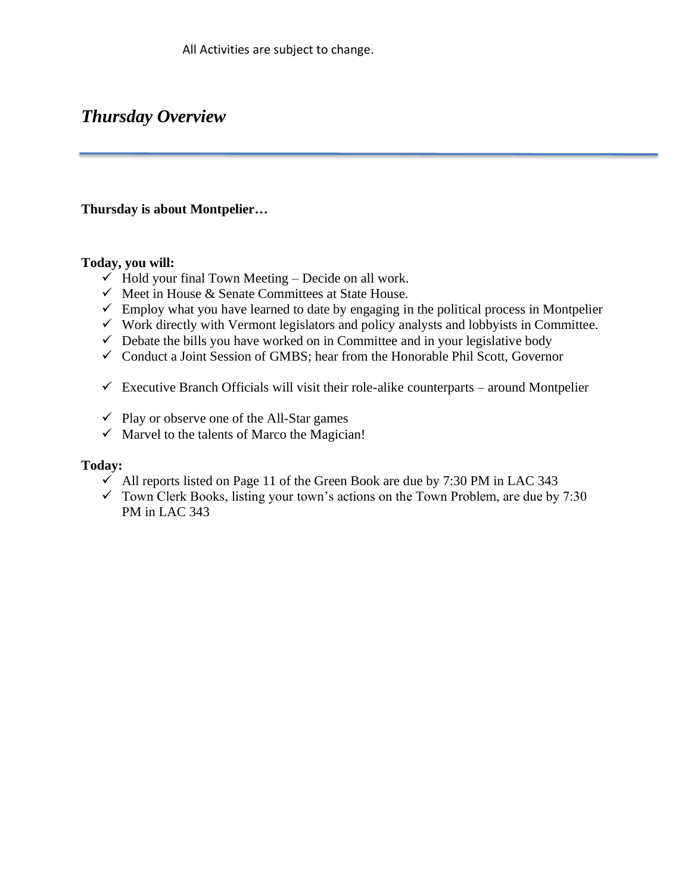### *Thursday Overview*

#### **Thursday is about Montpelier…**

#### **Today, you will:**

- $\checkmark$  Hold your final Town Meeting Decide on all work.
- $\checkmark$  Meet in House & Senate Committees at State House.
- $\checkmark$  Employ what you have learned to date by engaging in the political process in Montpelier
- $\checkmark$  Work directly with Vermont legislators and policy analysts and lobbyists in Committee.
- $\checkmark$  Debate the bills you have worked on in Committee and in your legislative body
- $\checkmark$  Conduct a Joint Session of GMBS; hear from the Honorable Phil Scott, Governor
- $\checkmark$  Executive Branch Officials will visit their role-alike counterparts around Montpelier
- $\checkmark$  Play or observe one of the All-Star games
- $\checkmark$  Marvel to the talents of Marco the Magician!

#### **Today:**

- $\checkmark$  All reports listed on Page 11 of the Green Book are due by 7:30 PM in LAC 343
- $\checkmark$  Town Clerk Books, listing your town's actions on the Town Problem, are due by 7:30 PM in LAC 343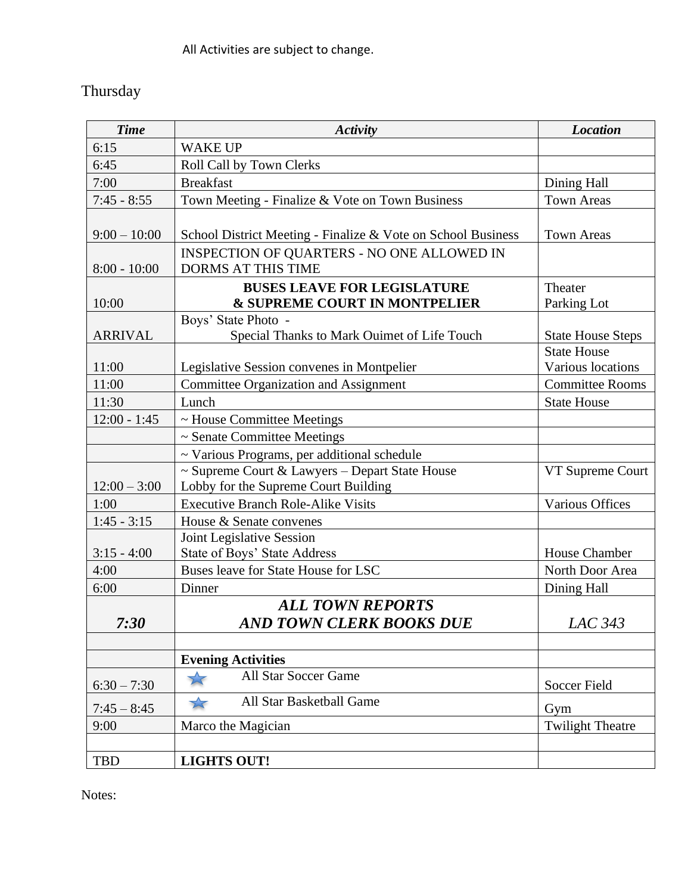## Thursday

| <b>Time</b>    | <b>Activity</b>                                              | <b>Location</b>          |
|----------------|--------------------------------------------------------------|--------------------------|
| 6:15           | <b>WAKE UP</b>                                               |                          |
| 6:45           | Roll Call by Town Clerks                                     |                          |
| 7:00           | <b>Breakfast</b>                                             | Dining Hall              |
| $7:45 - 8:55$  | Town Meeting - Finalize & Vote on Town Business              | <b>Town Areas</b>        |
|                |                                                              |                          |
| $9:00 - 10:00$ | School District Meeting - Finalize & Vote on School Business | <b>Town Areas</b>        |
|                | INSPECTION OF QUARTERS - NO ONE ALLOWED IN                   |                          |
| $8:00 - 10:00$ | <b>DORMS AT THIS TIME</b>                                    |                          |
|                | <b>BUSES LEAVE FOR LEGISLATURE</b>                           | Theater                  |
| 10:00          | & SUPREME COURT IN MONTPELIER                                | Parking Lot              |
|                | Boys' State Photo -                                          |                          |
| <b>ARRIVAL</b> | Special Thanks to Mark Ouimet of Life Touch                  | <b>State House Steps</b> |
|                |                                                              | <b>State House</b>       |
| 11:00          | Legislative Session convenes in Montpelier                   | Various locations        |
| 11:00          | <b>Committee Organization and Assignment</b>                 | <b>Committee Rooms</b>   |
| 11:30          | Lunch                                                        | <b>State House</b>       |
| $12:00 - 1:45$ | ~ House Committee Meetings                                   |                          |
|                | ~ Senate Committee Meetings                                  |                          |
|                | ~ Various Programs, per additional schedule                  |                          |
|                | ~ Supreme Court & Lawyers - Depart State House               | VT Supreme Court         |
| $12:00 - 3:00$ | Lobby for the Supreme Court Building                         |                          |
| 1:00           | <b>Executive Branch Role-Alike Visits</b>                    | Various Offices          |
| $1:45 - 3:15$  | House & Senate convenes<br>Joint Legislative Session         |                          |
| $3:15 - 4:00$  | State of Boys' State Address                                 | House Chamber            |
| 4:00           | Buses leave for State House for LSC                          | North Door Area          |
| 6:00           | Dinner                                                       | Dining Hall              |
|                | <b>ALL TOWN REPORTS</b>                                      |                          |
| 7:30           | AND TOWN CLERK BOOKS DUE                                     | LAC 343                  |
|                |                                                              |                          |
|                | <b>Evening Activities</b>                                    |                          |
|                | All Star Soccer Game                                         |                          |
| $6:30 - 7:30$  |                                                              | <b>Soccer Field</b>      |
| $7:45 - 8:45$  | All Star Basketball Game                                     | Gym                      |
| 9:00           | Marco the Magician                                           | <b>Twilight Theatre</b>  |
|                |                                                              |                          |
| <b>TBD</b>     | <b>LIGHTS OUT!</b>                                           |                          |

Notes: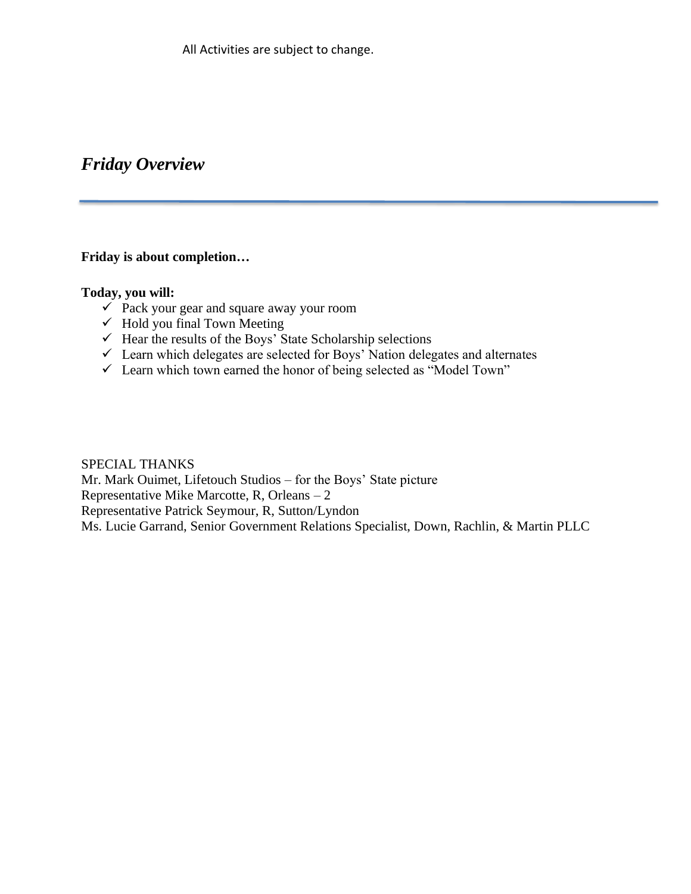All Activities are subject to change.

## *Friday Overview*

#### **Friday is about completion…**

#### **Today, you will:**

- $\checkmark$  Pack your gear and square away your room
- $\checkmark$  Hold you final Town Meeting
- $\checkmark$  Hear the results of the Boys' State Scholarship selections
- $\checkmark$  Learn which delegates are selected for Boys' Nation delegates and alternates
- $\checkmark$  Learn which town earned the honor of being selected as "Model Town"

#### SPECIAL THANKS

Mr. Mark Ouimet, Lifetouch Studios – for the Boys' State picture Representative Mike Marcotte, R, Orleans – 2 Representative Patrick Seymour, R, Sutton/Lyndon Ms. Lucie Garrand, Senior Government Relations Specialist, Down, Rachlin, & Martin PLLC